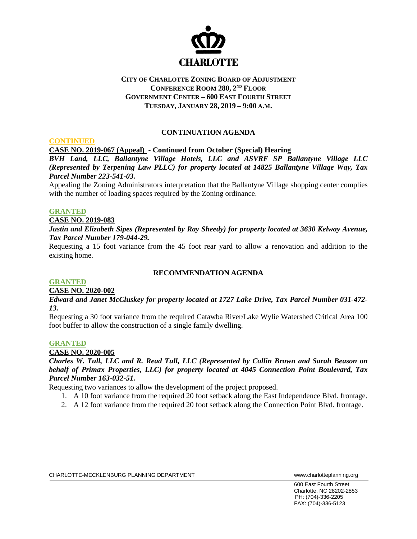

# **CITY OF CHARLOTTE ZONING BOARD OF ADJUSTMENT CONFERENCE ROOM 280, 2ND FLOOR GOVERNMENT CENTER – 600 EAST FOURTH STREET TUESDAY, JANUARY 28, 2019 – 9:00 A.M.**

## **CONTINUATION AGENDA**

**CASE NO. 2019-067 (Appeal) - Continued from October (Special) Hearing**

*BVH Land, LLC, Ballantyne Village Hotels, LLC and ASVRF SP Ballantyne Village LLC (Represented by Terpening Law PLLC) for property located at 14825 Ballantyne Village Way, Tax Parcel Number 223-541-03.*

Appealing the Zoning Administrators interpretation that the Ballantyne Village shopping center complies with the number of loading spaces required by the Zoning ordinance.

#### **GRANTED**

**CONTINUED**

#### **CASE NO. 2019-083**

*Justin and Elizabeth Sipes (Represented by Ray Sheedy) for property located at 3630 Kelway Avenue, Tax Parcel Number 179-044-29.*

Requesting a 15 foot variance from the 45 foot rear yard to allow a renovation and addition to the existing home.

## **RECOMMENDATION AGENDA**

### **GRANTED**

### **CASE NO. 2020-002**

*Edward and Janet McCluskey for property located at 1727 Lake Drive, Tax Parcel Number 031-472- 13.*

Requesting a 30 foot variance from the required Catawba River/Lake Wylie Watershed Critical Area 100 foot buffer to allow the construction of a single family dwelling.

#### **GRANTED**

### **CASE NO. 2020-005**

*Charles W. Tull, LLC and R. Read Tull, LLC (Represented by Collin Brown and Sarah Beason on behalf of Primax Properties, LLC) for property located at 4045 Connection Point Boulevard, Tax Parcel Number 163-032-51.*

Requesting two variances to allow the development of the project proposed.

- 1. A 10 foot variance from the required 20 foot setback along the East Independence Blvd. frontage.
- 2. A 12 foot variance from the required 20 foot setback along the Connection Point Blvd. frontage.

600 East Fourth Street Charlotte, NC 28202-2853 PH: (704)-336-2205 FAX: (704)-336-5123